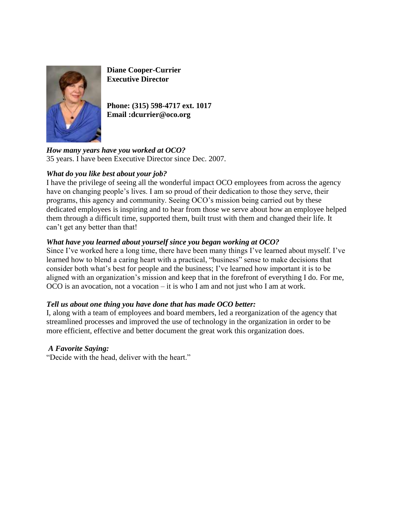

**Diane Cooper-Currier Executive Director**

**Phone: (315) 598-4717 ext. 1017 Email :dcurrier@oco.org**

*How many years have you worked at OCO?* 35 years. I have been Executive Director since Dec. 2007.

# *What do you like best about your job?*

I have the privilege of seeing all the wonderful impact OCO employees from across the agency have on changing people's lives. I am so proud of their dedication to those they serve, their programs, this agency and community. Seeing OCO's mission being carried out by these dedicated employees is inspiring and to hear from those we serve about how an employee helped them through a difficult time, supported them, built trust with them and changed their life. It can't get any better than that!

# *What have you learned about yourself since you began working at OCO?*

Since I've worked here a long time, there have been many things I've learned about myself. I've learned how to blend a caring heart with a practical, "business" sense to make decisions that consider both what's best for people and the business; I've learned how important it is to be aligned with an organization's mission and keep that in the forefront of everything I do. For me, OCO is an avocation, not a vocation – it is who I am and not just who I am at work.

# *Tell us about one thing you have done that has made OCO better:*

I, along with a team of employees and board members, led a reorganization of the agency that streamlined processes and improved the use of technology in the organization in order to be more efficient, effective and better document the great work this organization does.

# *A Favorite Saying:*

"Decide with the head, deliver with the heart."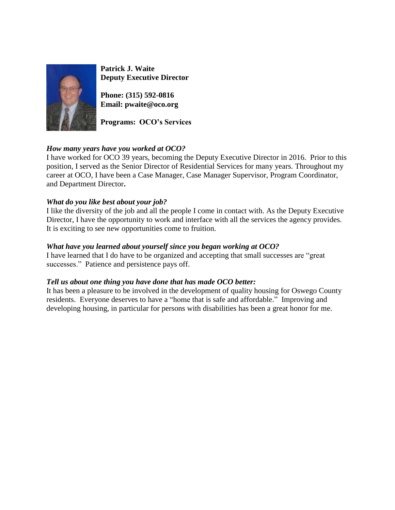

**Patrick J. Waite Deputy Executive Director** 

**Phone: (315) 592-0816 Email: pwaite@oco.org**

**Programs: OCO's Services** 

# *How many years have you worked at OCO?*

I have worked for OCO 39 years, becoming the Deputy Executive Director in 2016. Prior to this position, I served as the Senior Director of Residential Services for many years. Throughout my career at OCO, I have been a Case Manager, Case Manager Supervisor, Program Coordinator, and Department Director**.**

## *What do you like best about your job?*

I like the diversity of the job and all the people I come in contact with. As the Deputy Executive Director, I have the opportunity to work and interface with all the services the agency provides. It is exciting to see new opportunities come to fruition.

## *What have you learned about yourself since you began working at OCO?*

I have learned that I do have to be organized and accepting that small successes are "great successes." Patience and persistence pays off.

### *Tell us about one thing you have done that has made OCO better:*

It has been a pleasure to be involved in the development of quality housing for Oswego County residents. Everyone deserves to have a "home that is safe and affordable." Improving and developing housing, in particular for persons with disabilities has been a great honor for me.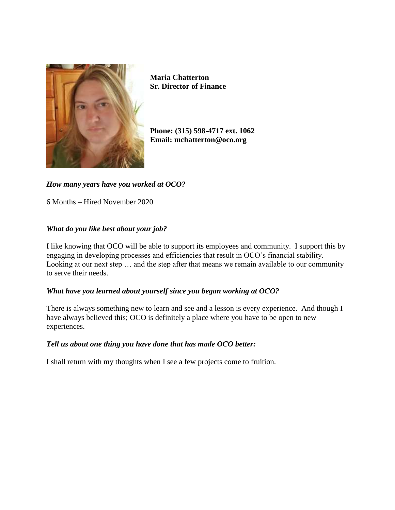

**Maria Chatterton Sr. Director of Finance**

**Phone: (315) 598-4717 ext. 1062 Email: mchatterton@oco.org**

*How many years have you worked at OCO?*

6 Months – Hired November 2020

## *What do you like best about your job?*

I like knowing that OCO will be able to support its employees and community. I support this by engaging in developing processes and efficiencies that result in OCO's financial stability. Looking at our next step … and the step after that means we remain available to our community to serve their needs.

### *What have you learned about yourself since you began working at OCO?*

There is always something new to learn and see and a lesson is every experience. And though I have always believed this; OCO is definitely a place where you have to be open to new experiences.

### *Tell us about one thing you have done that has made OCO better:*

I shall return with my thoughts when I see a few projects come to fruition*.*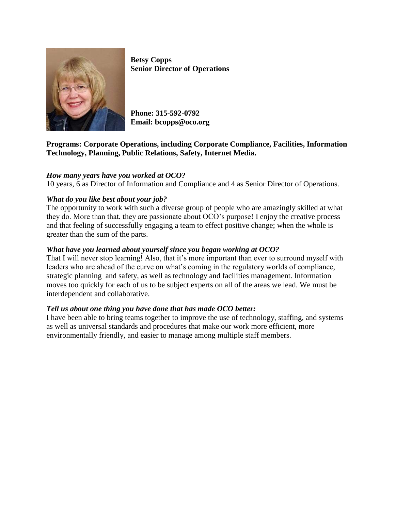

**Betsy Copps Senior Director of Operations**

**Phone: 315-592-0792 Email: bcopps@oco.org**

**Programs: Corporate Operations, including Corporate Compliance, Facilities, Information Technology, Planning, Public Relations, Safety, Internet Media.**

### *How many years have you worked at OCO?*

10 years, 6 as Director of Information and Compliance and 4 as Senior Director of Operations.

#### *What do you like best about your job?*

The opportunity to work with such a diverse group of people who are amazingly skilled at what they do. More than that, they are passionate about OCO's purpose! I enjoy the creative process and that feeling of successfully engaging a team to effect positive change; when the whole is greater than the sum of the parts.

#### *What have you learned about yourself since you began working at OCO?*

That I will never stop learning! Also, that it's more important than ever to surround myself with leaders who are ahead of the curve on what's coming in the regulatory worlds of compliance, strategic planning and safety, as well as technology and facilities management. Information moves too quickly for each of us to be subject experts on all of the areas we lead. We must be interdependent and collaborative.

#### *Tell us about one thing you have done that has made OCO better:*

I have been able to bring teams together to improve the use of technology, staffing, and systems as well as universal standards and procedures that make our work more efficient, more environmentally friendly, and easier to manage among multiple staff members.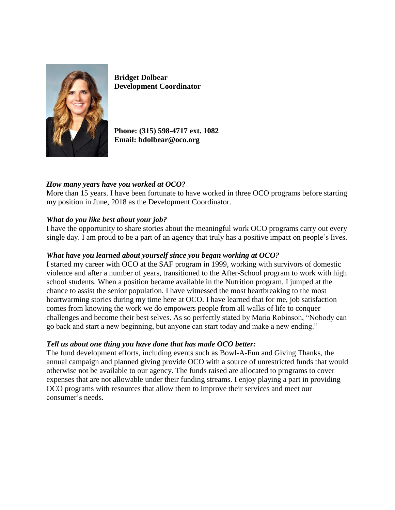

**Bridget Dolbear Development Coordinator**

**Phone: (315) 598-4717 ext. 1082 Email: bdolbear@oco.org**

## *How many years have you worked at OCO?*

More than 15 years. I have been fortunate to have worked in three OCO programs before starting my position in June, 2018 as the Development Coordinator.

## *What do you like best about your job?*

I have the opportunity to share stories about the meaningful work OCO programs carry out every single day. I am proud to be a part of an agency that truly has a positive impact on people's lives.

### *What have you learned about yourself since you began working at OCO?*

I started my career with OCO at the SAF program in 1999, working with survivors of domestic violence and after a number of years, transitioned to the After-School program to work with high school students. When a position became available in the Nutrition program, I jumped at the chance to assist the senior population. I have witnessed the most heartbreaking to the most heartwarming stories during my time here at OCO. I have learned that for me, job satisfaction comes from knowing the work we do empowers people from all walks of life to conquer challenges and become their best selves. As so perfectly stated by Maria Robinson, "Nobody can go back and start a new beginning, but anyone can start today and make a new ending."

### *Tell us about one thing you have done that has made OCO better:*

The fund development efforts, including events such as Bowl-A-Fun and Giving Thanks, the annual campaign and planned giving provide OCO with a source of unrestricted funds that would otherwise not be available to our agency. The funds raised are allocated to programs to cover expenses that are not allowable under their funding streams. I enjoy playing a part in providing OCO programs with resources that allow them to improve their services and meet our consumer's needs.